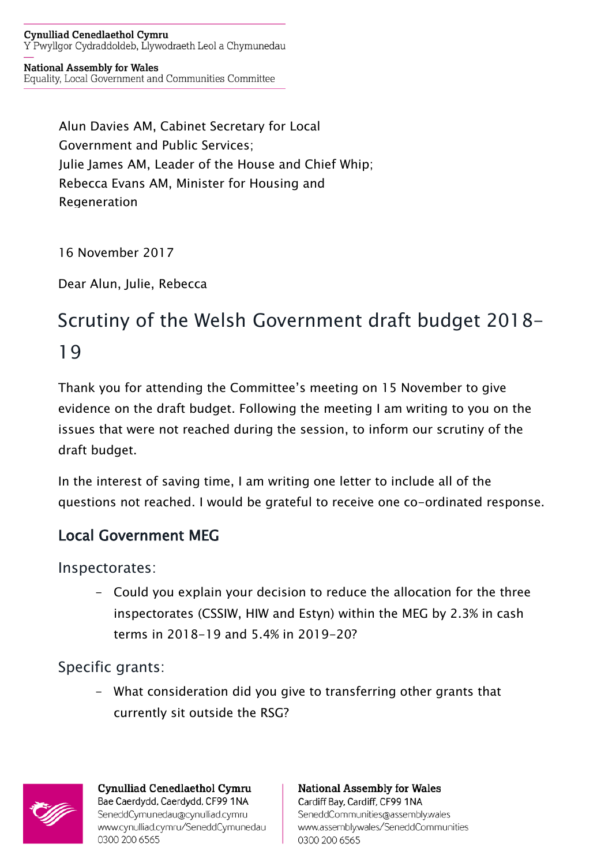**Cynulliad Cenedlaethol Cymru** Y Pwyllgor Cydraddoldeb, Llywodraeth Leol a Chymunedau

#### **National Assembly for Wales**

Equality, Local Government and Communities Committee

Alun Davies AM, Cabinet Secretary for Local Government and Public Services; Julie James AM, Leader of the House and Chief Whip; Rebecca Evans AM, Minister for Housing and **Regeneration** 

16 November 2017

Dear Alun, Julie, Rebecca

# Scrutiny of the Welsh Government draft budget 2018- 19

Thank you for attending the Committee's meeting on 15 November to give evidence on the draft budget. Following the meeting I am writing to you on the issues that were not reached during the session, to inform our scrutiny of the draft budget.

In the interest of saving time, I am writing one letter to include all of the questions not reached. I would be grateful to receive one co-ordinated response.

#### Local Government MEG

Inspectorates:

- Could you explain your decision to reduce the allocation for the three inspectorates (CSSIW, HIW and Estyn) within the MEG by 2.3% in cash terms in 2018-19 and 5.4% in 2019-20?

Specific grants:

- What consideration did you give to transferring other grants that currently sit outside the RSG?



**Cynulliad Cenedlaethol Cymru** Bae Caerdydd, Caerdydd, CF99 1NA SeneddCymunedau@cynulliad.cymru www.cynulliad.cymru/SeneddCymunedau 0300 200 6565

**National Assembly for Wales** Cardiff Bay, Cardiff, CF99 1NA SeneddCommunities@assembly.wales www.assembly.wales/SeneddCommunities 0300 200 6565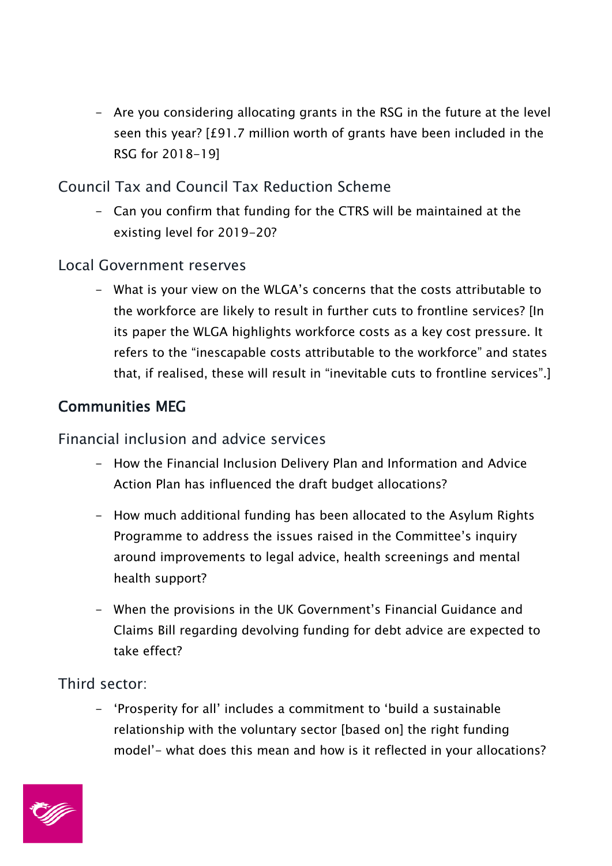- Are you considering allocating grants in the RSG in the future at the level seen this year? [£91.7 million worth of grants have been included in the RSG for 2018-19]

Council Tax and Council Tax Reduction Scheme

- Can you confirm that funding for the CTRS will be maintained at the existing level for 2019-20?

Local Government reserves

- What is your view on the WLGA's concerns that the costs attributable to the workforce are likely to result in further cuts to frontline services? [In its paper the WLGA highlights workforce costs as a key cost pressure. It refers to the "inescapable costs attributable to the workforce" and states that, if realised, these will result in "inevitable cuts to frontline services".]

# Communities MEG

Financial inclusion and advice services

- How the Financial Inclusion Delivery Plan and Information and Advice Action Plan has influenced the draft budget allocations?
- How much additional funding has been allocated to the Asylum Rights Programme to address the issues raised in the Committee's inquiry around improvements to legal advice, health screenings and mental health support?
- When the provisions in the UK Government's Financial Guidance and Claims Bill regarding devolving funding for debt advice are expected to take effect?

Third sector:

- 'Prosperity for all' includes a commitment to 'build a sustainable relationship with the voluntary sector [based on] the right funding model'- what does this mean and how is it reflected in your allocations?

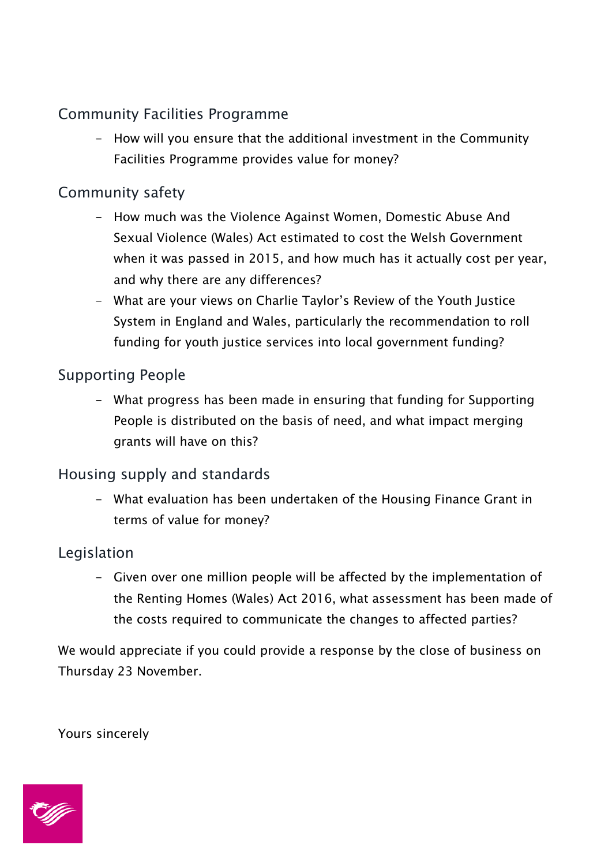# Community Facilities Programme

- How will you ensure that the additional investment in the Community Facilities Programme provides value for money?

#### Community safety

- How much was the Violence Against Women, Domestic Abuse And Sexual Violence (Wales) Act estimated to cost the Welsh Government when it was passed in 2015, and how much has it actually cost per year, and why there are any differences?
- What are your views on Charlie Taylor's Review of the Youth Justice System in England and Wales, particularly the recommendation to roll funding for youth justice services into local government funding?

#### Supporting People

- What progress has been made in ensuring that funding for Supporting People is distributed on the basis of need, and what impact merging grants will have on this?

# Housing supply and standards

- What evaluation has been undertaken of the Housing Finance Grant in terms of value for money?

# Legislation

- Given over one million people will be affected by the implementation of the Renting Homes (Wales) Act 2016, what assessment has been made of the costs required to communicate the changes to affected parties?

We would appreciate if you could provide a response by the close of business on Thursday 23 November.

Yours sincerely